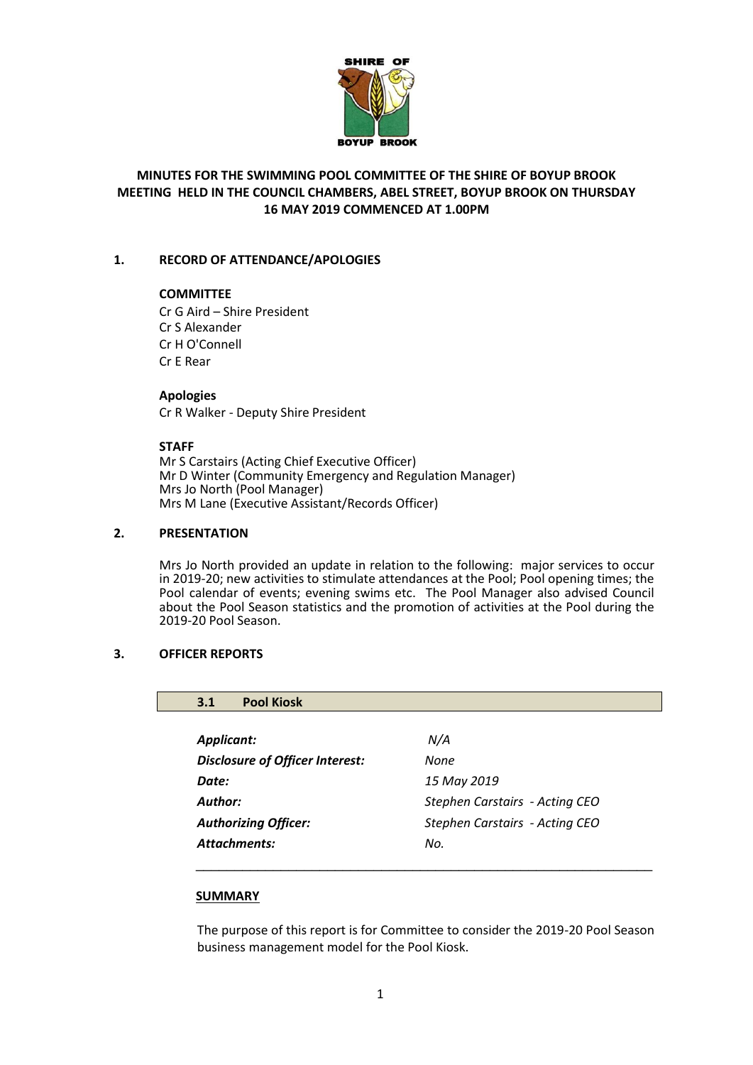

# **MINUTES FOR THE SWIMMING POOL COMMITTEE OF THE SHIRE OF BOYUP BROOK MEETING HELD IN THE COUNCIL CHAMBERS, ABEL STREET, BOYUP BROOK ON THURSDAY 16 MAY 2019 COMMENCED AT 1.00PM**

# **1. RECORD OF ATTENDANCE/APOLOGIES**

#### **COMMITTEE**

Cr G Aird – Shire President Cr S Alexander Cr H O'Connell Cr E Rear

# **Apologies**

Cr R Walker - Deputy Shire President

# **STAFF**

Mr S Carstairs (Acting Chief Executive Officer) Mr D Winter (Community Emergency and Regulation Manager) Mrs Jo North (Pool Manager) Mrs M Lane (Executive Assistant/Records Officer)

# **2. PRESENTATION**

Mrs Jo North provided an update in relation to the following: major services to occur in 2019-20; new activities to stimulate attendances at the Pool; Pool opening times; the Pool calendar of events; evening swims etc. The Pool Manager also advised Council about the Pool Season statistics and the promotion of activities at the Pool during the 2019-20 Pool Season.

# **3. OFFICER REPORTS**

# **3.1 Pool Kiosk**

| Applicant:                             | N/A                            |
|----------------------------------------|--------------------------------|
| <b>Disclosure of Officer Interest:</b> | None                           |
| Date:                                  | 15 May 2019                    |
| Author:                                | Stephen Carstairs - Acting CEO |
| <b>Authorizing Officer:</b>            | Stephen Carstairs - Acting CEO |
| Attachments:                           | No.                            |
|                                        |                                |

# **SUMMARY**

The purpose of this report is for Committee to consider the 2019-20 Pool Season business management model for the Pool Kiosk.

\_\_\_\_\_\_\_\_\_\_\_\_\_\_\_\_\_\_\_\_\_\_\_\_\_\_\_\_\_\_\_\_\_\_\_\_\_\_\_\_\_\_\_\_\_\_\_\_\_\_\_\_\_\_\_\_\_\_\_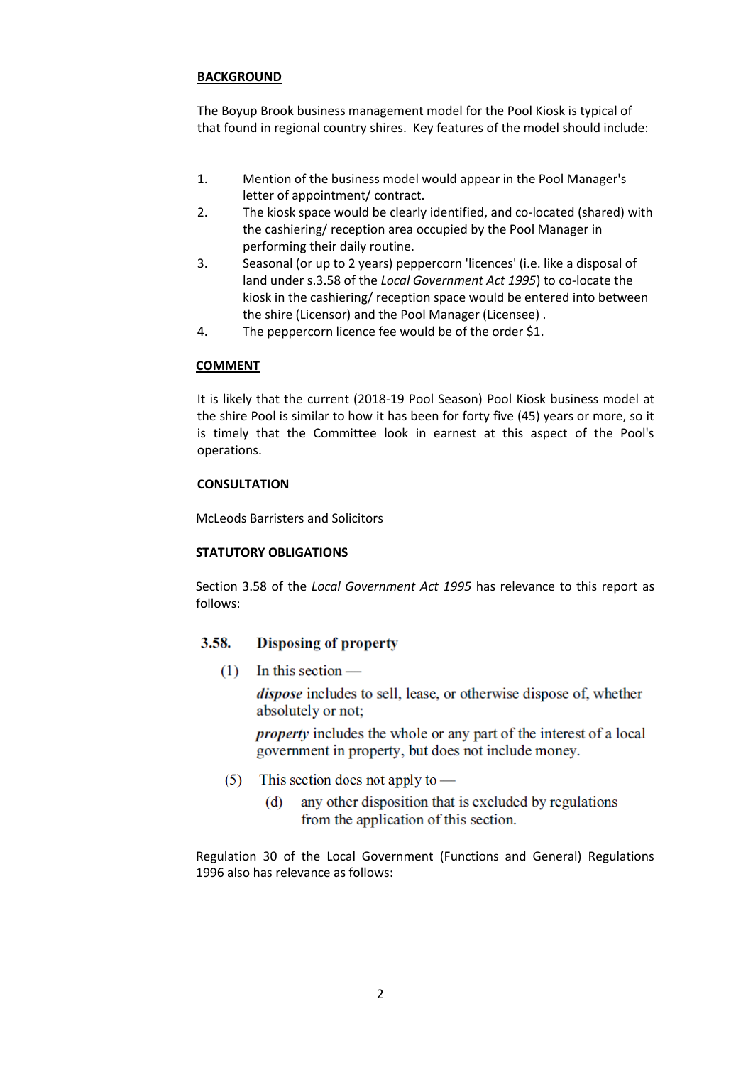# **BACKGROUND**

The Boyup Brook business management model for the Pool Kiosk is typical of that found in regional country shires. Key features of the model should include:

- 1. Mention of the business model would appear in the Pool Manager's letter of appointment/ contract.
- 2. The kiosk space would be clearly identified, and co-located (shared) with the cashiering/ reception area occupied by the Pool Manager in performing their daily routine.
- 3. Seasonal (or up to 2 years) peppercorn 'licences' (i.e. like a disposal of land under s.3.58 of the *Local Government Act 1995*) to co-locate the kiosk in the cashiering/ reception space would be entered into between the shire (Licensor) and the Pool Manager (Licensee) .
- 4. The peppercorn licence fee would be of the order \$1.

# **COMMENT**

It is likely that the current (2018-19 Pool Season) Pool Kiosk business model at the shire Pool is similar to how it has been for forty five (45) years or more, so it is timely that the Committee look in earnest at this aspect of the Pool's operations.

# **CONSULTATION**

McLeods Barristers and Solicitors

# **STATUTORY OBLIGATIONS**

Section 3.58 of the *Local Government Act 1995* has relevance to this report as follows:

#### 3.58. **Disposing of property**

 $(1)$  In this section —

*dispose* includes to sell, lease, or otherwise dispose of, whether absolutely or not;

*property* includes the whole or any part of the interest of a local government in property, but does not include money.

- This section does not apply to  $(5)$ 
	- any other disposition that is excluded by regulations  $(d)$ from the application of this section.

Regulation 30 of the Local Government (Functions and General) Regulations 1996 also has relevance as follows: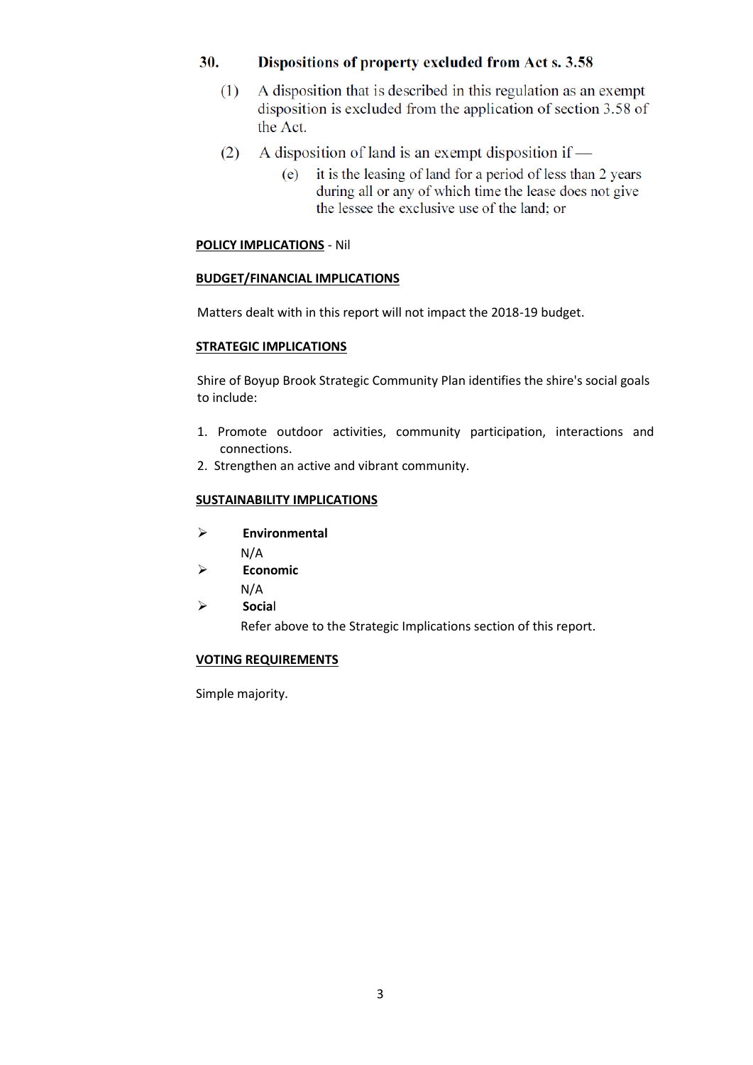#### 30. Dispositions of property excluded from Act s. 3.58

- A disposition that is described in this regulation as an exempt  $(1)$ disposition is excluded from the application of section 3.58 of the Act.
- A disposition of land is an exempt disposition if  $(2)$ 
	- it is the leasing of land for a period of less than 2 years  $(e)$ during all or any of which time the lease does not give the lessee the exclusive use of the land; or

# **POLICY IMPLICATIONS** - Nil

# **BUDGET/FINANCIAL IMPLICATIONS**

Matters dealt with in this report will not impact the 2018-19 budget.

# **STRATEGIC IMPLICATIONS**

Shire of Boyup Brook Strategic Community Plan identifies the shire's social goals to include:

- 1. Promote outdoor activities, community participation, interactions and connections.
- 2. Strengthen an active and vibrant community.

# **SUSTAINABILITY IMPLICATIONS**

- **Environmental**
	- N/A
- **Economic**
- N/A
- **Socia**l

Refer above to the Strategic Implications section of this report.

# **VOTING REQUIREMENTS**

Simple majority.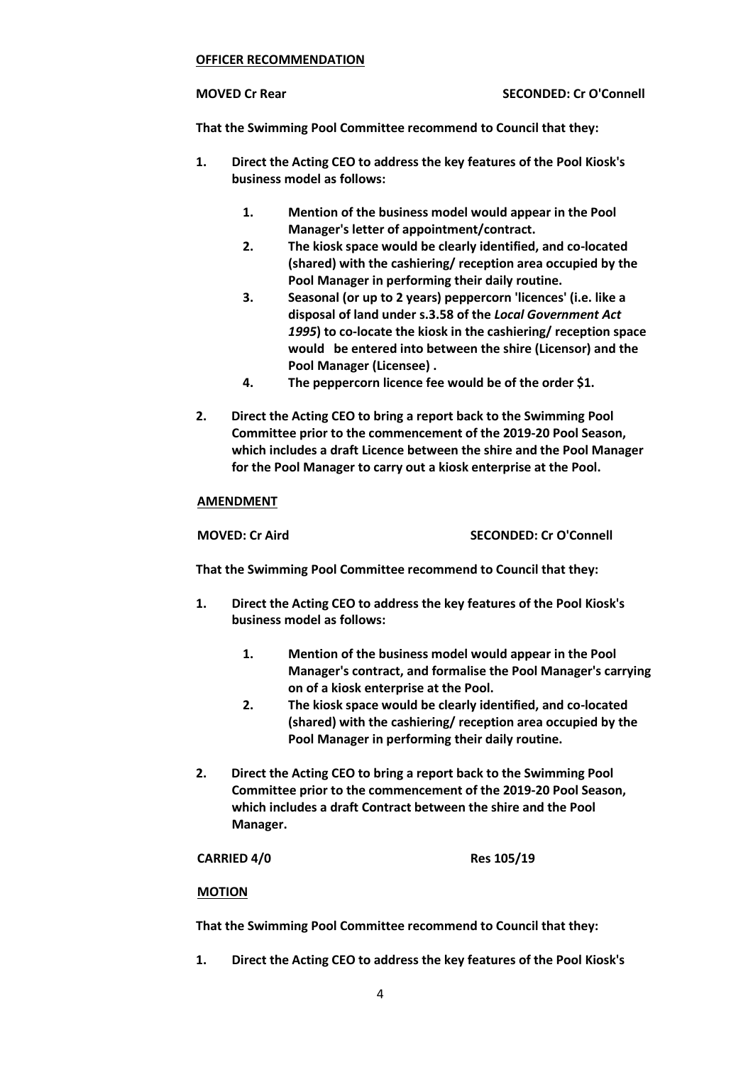#### **OFFICER RECOMMENDATION**

**That the Swimming Pool Committee recommend to Council that they:**

- **1. Direct the Acting CEO to address the key features of the Pool Kiosk's business model as follows:**
	- **1. Mention of the business model would appear in the Pool Manager's letter of appointment/contract.**
	- **2. The kiosk space would be clearly identified, and co-located (shared) with the cashiering/ reception area occupied by the Pool Manager in performing their daily routine.**
	- **3. Seasonal (or up to 2 years) peppercorn 'licences' (i.e. like a disposal of land under s.3.58 of the** *Local Government Act 1995***) to co-locate the kiosk in the cashiering/ reception space would be entered into between the shire (Licensor) and the Pool Manager (Licensee) .**
	- **4. The peppercorn licence fee would be of the order \$1.**
- **2. Direct the Acting CEO to bring a report back to the Swimming Pool Committee prior to the commencement of the 2019-20 Pool Season, which includes a draft Licence between the shire and the Pool Manager for the Pool Manager to carry out a kiosk enterprise at the Pool.**

#### **AMENDMENT**

**MOVED: Cr Aird SECONDED: Cr O'Connell**

**That the Swimming Pool Committee recommend to Council that they:**

- **1. Direct the Acting CEO to address the key features of the Pool Kiosk's business model as follows:**
	- **1. Mention of the business model would appear in the Pool Manager's contract, and formalise the Pool Manager's carrying on of a kiosk enterprise at the Pool.**
	- **2. The kiosk space would be clearly identified, and co-located (shared) with the cashiering/ reception area occupied by the Pool Manager in performing their daily routine.**
- **2. Direct the Acting CEO to bring a report back to the Swimming Pool Committee prior to the commencement of the 2019-20 Pool Season, which includes a draft Contract between the shire and the Pool Manager.**

**CARRIED 4/0 Res 105/19**

# **MOTION**

**That the Swimming Pool Committee recommend to Council that they:**

**1. Direct the Acting CEO to address the key features of the Pool Kiosk's**